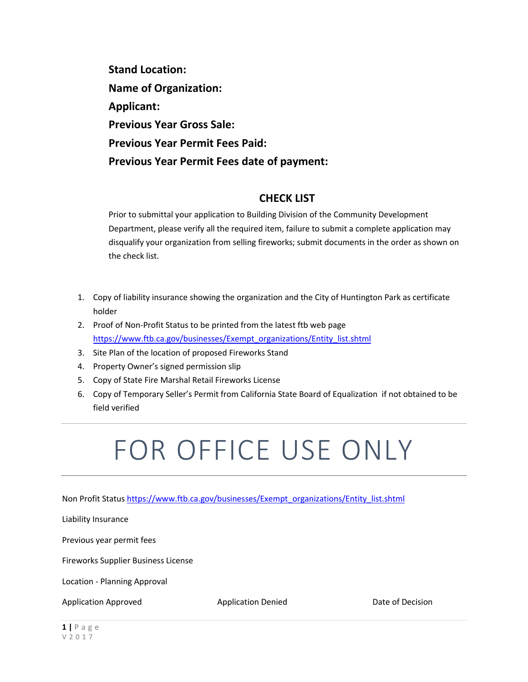**Stand Location: Name of Organization: Applicant: Previous Year Gross Sale: Previous Year Permit Fees Paid: Previous Year Permit Fees date of payment:** 

### **CHECK LIST**

Prior to submittal your application to Building Division of the Community Development Department, please verify all the required item, failure to submit a complete application may disqualify your organization from selling fireworks; submit documents in the order as shown on the check list.

- 1. Copy of liability insurance showing the organization and the City of Huntington Park as certificate holder
- 2. Proof of Non-Profit Status to be printed from the latest ftb web page [https://www.ftb.ca.gov/businesses/Exempt\\_organizations/Entity\\_list.shtml](https://www.ftb.ca.gov/businesses/Exempt_organizations/Entity_list.shtml)
- 3. Site Plan of the location of proposed Fireworks Stand
- 4. Property Owner's signed permission slip
- 5. Copy of State Fire Marshal Retail Fireworks License
- 6. Copy of Temporary Seller's Permit from California State Board of Equalization if not obtained to be field verified

# FOR OFFICE USE ONLY

Non Profit Status [https://www.ftb.ca.gov/businesses/Exempt\\_organizations/Entity\\_list.shtml](https://www.ftb.ca.gov/businesses/Exempt_organizations/Entity_list.shtml)

Liability Insurance

Previous year permit fees

Fireworks Supplier Business License

Location - Planning Approval

Application Approved Application Denied Date of Decision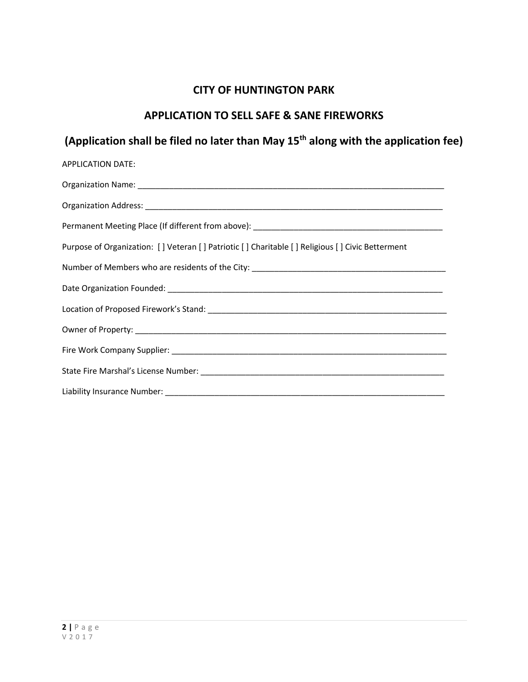## **CITY OF HUNTINGTON PARK**

## **APPLICATION TO SELL SAFE & SANE FIREWORKS**

## **(Application shall be filed no later than May 15th along with the application fee)**

| <b>APPLICATION DATE:</b>                                                                                        |
|-----------------------------------------------------------------------------------------------------------------|
|                                                                                                                 |
|                                                                                                                 |
|                                                                                                                 |
| Purpose of Organization: [] Veteran [] Patriotic [] Charitable [] Religious [] Civic Betterment                 |
| Number of Members who are residents of the City: ________________________________                               |
|                                                                                                                 |
|                                                                                                                 |
|                                                                                                                 |
|                                                                                                                 |
|                                                                                                                 |
| Liability Insurance Number: University of the Communication of the Communication of the Communication of the Co |